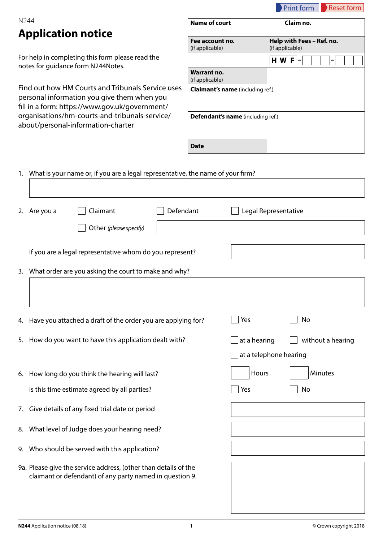|      |                                                                                                                                                    |                                         | <b>Print form</b><br><b>Reset form</b>       |  |  |  |  |  |
|------|----------------------------------------------------------------------------------------------------------------------------------------------------|-----------------------------------------|----------------------------------------------|--|--|--|--|--|
| N244 |                                                                                                                                                    | <b>Name of court</b>                    | Claim no.                                    |  |  |  |  |  |
|      | <b>Application notice</b>                                                                                                                          | Fee account no.<br>(if applicable)      | Help with Fees - Ref. no.<br>(if applicable) |  |  |  |  |  |
|      | For help in completing this form please read the<br>notes for guidance form N244Notes.                                                             |                                         | H[W]F                                        |  |  |  |  |  |
|      |                                                                                                                                                    | <b>Warrant no.</b><br>(if applicable)   |                                              |  |  |  |  |  |
|      | Find out how HM Courts and Tribunals Service uses<br>personal information you give them when you<br>fill in a form: https://www.gov.uk/government/ | <b>Claimant's name</b> (including ref.) |                                              |  |  |  |  |  |
|      | organisations/hm-courts-and-tribunals-service/<br>about/personal-information-charter                                                               | Defendant's name (including ref.)       |                                              |  |  |  |  |  |
|      |                                                                                                                                                    | <b>Date</b>                             |                                              |  |  |  |  |  |
|      | 1. What is your name or, if you are a legal representative, the name of your firm?                                                                 |                                         |                                              |  |  |  |  |  |
| 2.   | Claimant<br>Are you a                                                                                                                              | Defendant<br>Legal Representative       |                                              |  |  |  |  |  |
|      | Other (please specify)                                                                                                                             |                                         |                                              |  |  |  |  |  |
|      | If you are a legal representative whom do you represent?                                                                                           |                                         |                                              |  |  |  |  |  |
| 3.   | What order are you asking the court to make and why?                                                                                               |                                         |                                              |  |  |  |  |  |
|      |                                                                                                                                                    |                                         |                                              |  |  |  |  |  |
| 4.   | Yes<br>No<br>Have you attached a draft of the order you are applying for?                                                                          |                                         |                                              |  |  |  |  |  |
|      | 5. How do you want to have this application dealt with?                                                                                            | at a hearing                            | without a hearing                            |  |  |  |  |  |

|    | 6. How long do you think the hearing will last?                                                                             | Hours |    | <b>Minutes</b> |
|----|-----------------------------------------------------------------------------------------------------------------------------|-------|----|----------------|
|    | Is this time estimate agreed by all parties?                                                                                | Yes   | No |                |
| 7. | Give details of any fixed trial date or period                                                                              |       |    |                |
| 8. | What level of Judge does your hearing need?                                                                                 |       |    |                |
|    | 9. Who should be served with this application?                                                                              |       |    |                |
|    | 9a. Please give the service address, (other than details of the<br>claimant or defendant) of any party named in question 9. |       |    |                |
|    |                                                                                                                             |       |    |                |

 $\Box$  at a telephone hearing